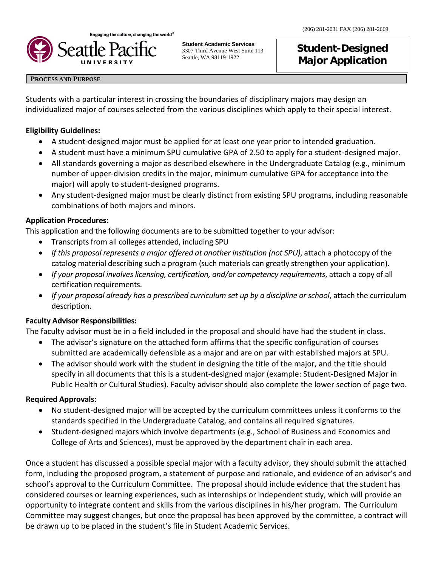

**Student Academic Services** 3307 Third Avenue West Suite 113 Seattle, WA 98119-1922

# **Student-Designed Major Application**

#### **PROCESS AND PURPOSE**

Students with a particular interest in crossing the boundaries of disciplinary majors may design an individualized major of courses selected from the various disciplines which apply to their special interest.

### **Eligibility Guidelines:**

- A student-designed major must be applied for at least one year prior to intended graduation.
- A student must have a minimum SPU cumulative GPA of 2.50 to apply for a student-designed major.
- All standards governing a major as described elsewhere in the Undergraduate Catalog (e.g., minimum number of upper-division credits in the major, minimum cumulative GPA for acceptance into the major) will apply to student-designed programs.
- Any student-designed major must be clearly distinct from existing SPU programs, including reasonable combinations of both majors and minors.

#### **Application Procedures:**

This application and the following documents are to be submitted together to your advisor:

- Transcripts from all colleges attended, including SPU
- *If this proposal represents a major offered at another institution (not SPU)*, attach a photocopy of the catalog material describing such a program (such materials can greatly strengthen your application).
- *If your proposal involves licensing, certification, and/or competency requirements*, attach a copy of all certification requirements.
- *If your proposal already has a prescribed curriculum set up by a discipline or school*, attach the curriculum description.

## **Faculty Advisor Responsibilities:**

The faculty advisor must be in a field included in the proposal and should have had the student in class.

- The advisor's signature on the attached form affirms that the specific configuration of courses submitted are academically defensible as a major and are on par with established majors at SPU.
- The advisor should work with the student in designing the title of the major, and the title should specify in all documents that this is a student-designed major (example: Student-Designed Major in Public Health or Cultural Studies). Faculty advisor should also complete the lower section of page two.

## **Required Approvals:**

- No student-designed major will be accepted by the curriculum committees unless it conforms to the standards specified in the Undergraduate Catalog, and contains all required signatures.
- Student-designed majors which involve departments (e.g., School of Business and Economics and College of Arts and Sciences), must be approved by the department chair in each area.

Once a student has discussed a possible special major with a faculty advisor, they should submit the attached form, including the proposed program, a statement of purpose and rationale, and evidence of an advisor's and school's approval to the Curriculum Committee. The proposal should include evidence that the student has considered courses or learning experiences, such as internships or independent study, which will provide an opportunity to integrate content and skills from the various disciplines in his/her program. The Curriculum Committee may suggest changes, but once the proposal has been approved by the committee, a contract will be drawn up to be placed in the student's file in Student Academic Services.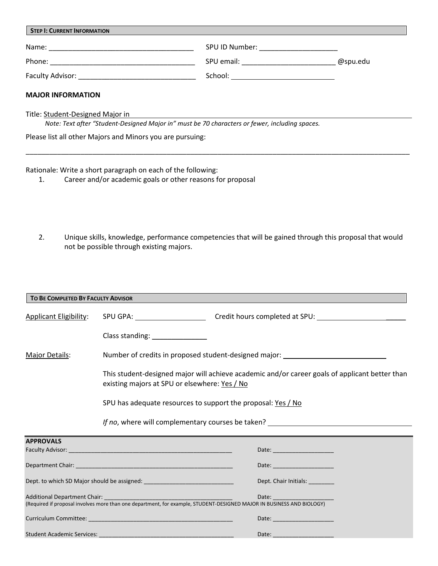| <b>STEP I: CURRENT INFORMATION</b> |                                                                |          |  |  |
|------------------------------------|----------------------------------------------------------------|----------|--|--|
| Name:                              | SPU ID Number:<br>the control of the control of the control of |          |  |  |
| Phone:                             | SPU email:                                                     | @spu.edu |  |  |
| <b>Faculty Advisor:</b>            | School:                                                        |          |  |  |
|                                    |                                                                |          |  |  |

#### **MAJOR INFORMATION**

Title: Student-Designed Major in

*Note: Text after "Student-Designed Major in" must be 70 characters or fewer, including spaces.*

Please list all other Majors and Minors you are pursuing:

Rationale: Write a short paragraph on each of the following:

- 1. Career and/or academic goals or other reasons for proposal
- 2. Unique skills, knowledge, performance competencies that will be gained through this proposal that would not be possible through existing majors.

\_\_\_\_\_\_\_\_\_\_\_\_\_\_\_\_\_\_\_\_\_\_\_\_\_\_\_\_\_\_\_\_\_\_\_\_\_\_\_\_\_\_\_\_\_\_\_\_\_\_\_\_\_\_\_\_\_\_\_\_\_\_\_\_\_\_\_\_\_\_\_\_\_\_\_\_\_\_\_\_\_\_\_\_\_\_\_\_\_\_\_\_\_\_\_\_\_\_

| TO BE COMPLETED BY FACULTY ADVISOR |                                                                                                                                                                                                                                     |  |  |  |
|------------------------------------|-------------------------------------------------------------------------------------------------------------------------------------------------------------------------------------------------------------------------------------|--|--|--|
|                                    |                                                                                                                                                                                                                                     |  |  |  |
|                                    | Class standing: _______________                                                                                                                                                                                                     |  |  |  |
| <b>Major Details:</b>              | Number of credits in proposed student-designed major: __________________________<br>This student-designed major will achieve academic and/or career goals of applicant better than<br>existing majors at SPU or elsewhere: Yes / No |  |  |  |
|                                    |                                                                                                                                                                                                                                     |  |  |  |
|                                    | SPU has adequate resources to support the proposal: Yes / No                                                                                                                                                                        |  |  |  |
|                                    | <i>If no</i> , where will complementary courses be taken? <u>Internal and the contract of the set of the set of the set of</u>                                                                                                      |  |  |  |
| <b>APPROVALS</b>                   | <u> 1989 - Johann Stoff, deutscher Stoff, der Stoff, der Stoff, der Stoff, der Stoff, der Stoff, der Stoff, der S</u>                                                                                                               |  |  |  |
|                                    | Date: the contract of the contract of the contract of the contract of the contract of the contract of the contract of the contract of the contract of the contract of the contract of the contract of the contract of the cont      |  |  |  |
|                                    | Date: The Company of the Company of the Company of the Company of the Company of the Company of the Company of                                                                                                                      |  |  |  |
|                                    | Dept. Chair Initials: _________                                                                                                                                                                                                     |  |  |  |
|                                    |                                                                                                                                                                                                                                     |  |  |  |
|                                    | Date: and the contract of the contract of the contract of the contract of the contract of the contract of the                                                                                                                       |  |  |  |
|                                    | Date: and the contract of the contract of the contract of the contract of the contract of the contract of the                                                                                                                       |  |  |  |